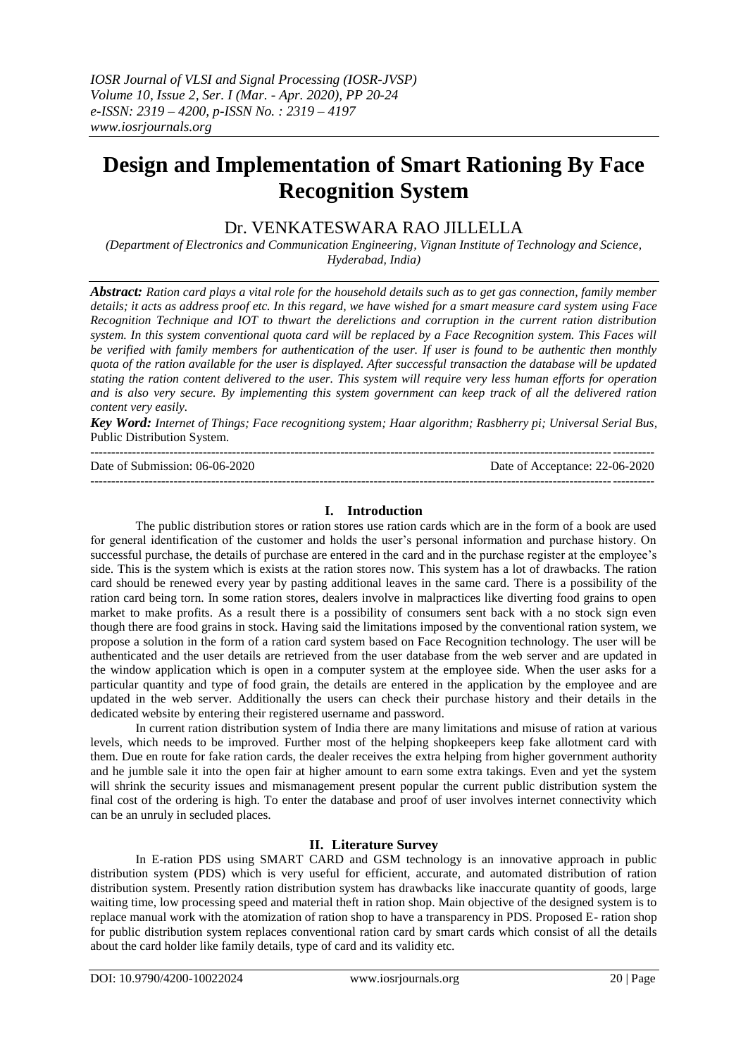# **Design and Implementation of Smart Rationing By Face Recognition System**

## Dr. VENKATESWARA RAO JILLELLA

*(Department of Electronics and Communication Engineering, Vignan Institute of Technology and Science, Hyderabad, India)*

*Abstract: Ration card plays a vital role for the household details such as to get gas connection, family member details; it acts as address proof etc. In this regard, we have wished for a smart measure card system using Face Recognition Technique and IOT to thwart the derelictions and corruption in the current ration distribution system. In this system conventional quota card will be replaced by a Face Recognition system. This Faces will be verified with family members for authentication of the user. If user is found to be authentic then monthly quota of the ration available for the user is displayed. After successful transaction the database will be updated stating the ration content delivered to the user. This system will require very less human efforts for operation and is also very secure. By implementing this system government can keep track of all the delivered ration content very easily.*

*Key Word: Internet of Things; Face recognitiong system; Haar algorithm; Rasbherry pi; Universal Serial Bus,*  Public Distribution System*.*

| Date of Submission: 06-06-2020 | Date of Acceptance: 22-06-2020 |
|--------------------------------|--------------------------------|
|                                |                                |

## **I. Introduction**

The public distribution stores or ration stores use ration cards which are in the form of a book are used for general identification of the customer and holds the user"s personal information and purchase history. On successful purchase, the details of purchase are entered in the card and in the purchase register at the employee's side. This is the system which is exists at the ration stores now. This system has a lot of drawbacks. The ration card should be renewed every year by pasting additional leaves in the same card. There is a possibility of the ration card being torn. In some ration stores, dealers involve in malpractices like diverting food grains to open market to make profits. As a result there is a possibility of consumers sent back with a no stock sign even though there are food grains in stock. Having said the limitations imposed by the conventional ration system, we propose a solution in the form of a ration card system based on Face Recognition technology. The user will be authenticated and the user details are retrieved from the user database from the web server and are updated in the window application which is open in a computer system at the employee side. When the user asks for a particular quantity and type of food grain, the details are entered in the application by the employee and are updated in the web server. Additionally the users can check their purchase history and their details in the dedicated website by entering their registered username and password*.*

In current ration distribution system of India there are many limitations and misuse of ration at various levels, which needs to be improved. Further most of the helping shopkeepers keep fake allotment card with them. Due en route for fake ration cards, the dealer receives the extra helping from higher government authority and he jumble sale it into the open fair at higher amount to earn some extra takings. Even and yet the system will shrink the security issues and mismanagement present popular the current public distribution system the final cost of the ordering is high. To enter the database and proof of user involves internet connectivity which can be an unruly in secluded places.

## **II. Literature Survey**

In E-ration PDS using SMART CARD and GSM technology is an innovative approach in public distribution system (PDS) which is very useful for efficient, accurate, and automated distribution of ration distribution system. Presently ration distribution system has drawbacks like inaccurate quantity of goods, large waiting time, low processing speed and material theft in ration shop. Main objective of the designed system is to replace manual work with the atomization of ration shop to have a transparency in PDS. Proposed E- ration shop for public distribution system replaces conventional ration card by smart cards which consist of all the details about the card holder like family details, type of card and its validity etc.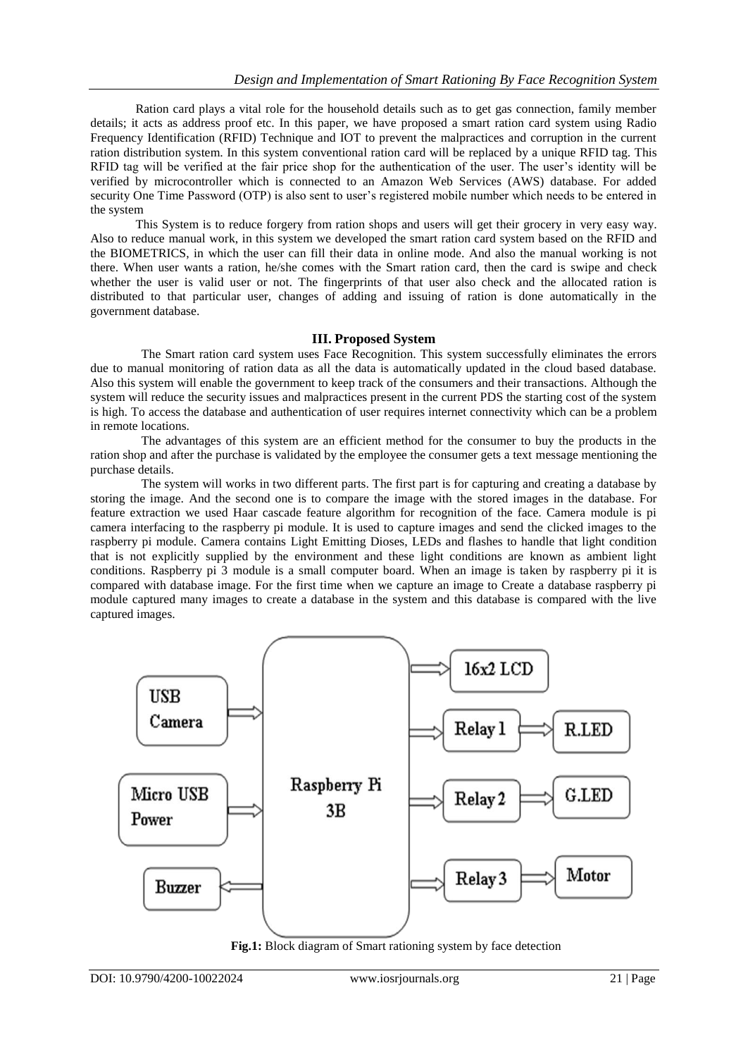Ration card plays a vital role for the household details such as to get gas connection, family member details; it acts as address proof etc. In this paper, we have proposed a smart ration card system using Radio Frequency Identification (RFID) Technique and IOT to prevent the malpractices and corruption in the current ration distribution system. In this system conventional ration card will be replaced by a unique RFID tag. This RFID tag will be verified at the fair price shop for the authentication of the user. The user"s identity will be verified by microcontroller which is connected to an Amazon Web Services (AWS) database. For added security One Time Password (OTP) is also sent to user's registered mobile number which needs to be entered in the system

This System is to reduce forgery from ration shops and users will get their grocery in very easy way. Also to reduce manual work, in this system we developed the smart ration card system based on the RFID and the BIOMETRICS, in which the user can fill their data in online mode. And also the manual working is not there. When user wants a ration, he/she comes with the Smart ration card, then the card is swipe and check whether the user is valid user or not. The fingerprints of that user also check and the allocated ration is distributed to that particular user, changes of adding and issuing of ration is done automatically in the government database.

## **III. Proposed System**

The Smart ration card system uses Face Recognition. This system successfully eliminates the errors due to manual monitoring of ration data as all the data is automatically updated in the cloud based database. Also this system will enable the government to keep track of the consumers and their transactions. Although the system will reduce the security issues and malpractices present in the current PDS the starting cost of the system is high. To access the database and authentication of user requires internet connectivity which can be a problem in remote locations.

The advantages of this system are an efficient method for the consumer to buy the products in the ration shop and after the purchase is validated by the employee the consumer gets a text message mentioning the purchase details.

The system will works in two different parts. The first part is for capturing and creating a database by storing the image. And the second one is to compare the image with the stored images in the database. For feature extraction we used Haar cascade feature algorithm for recognition of the face. Camera module is pi camera interfacing to the raspberry pi module. It is used to capture images and send the clicked images to the raspberry pi module. Camera contains Light Emitting Dioses, LEDs and flashes to handle that light condition that is not explicitly supplied by the environment and these light conditions are known as ambient light conditions. Raspberry pi 3 module is a small computer board. When an image is taken by raspberry pi it is compared with database image. For the first time when we capture an image to Create a database raspberry pi module captured many images to create a database in the system and this database is compared with the live captured images.



**Fig.1:** Block diagram of Smart rationing system by face detection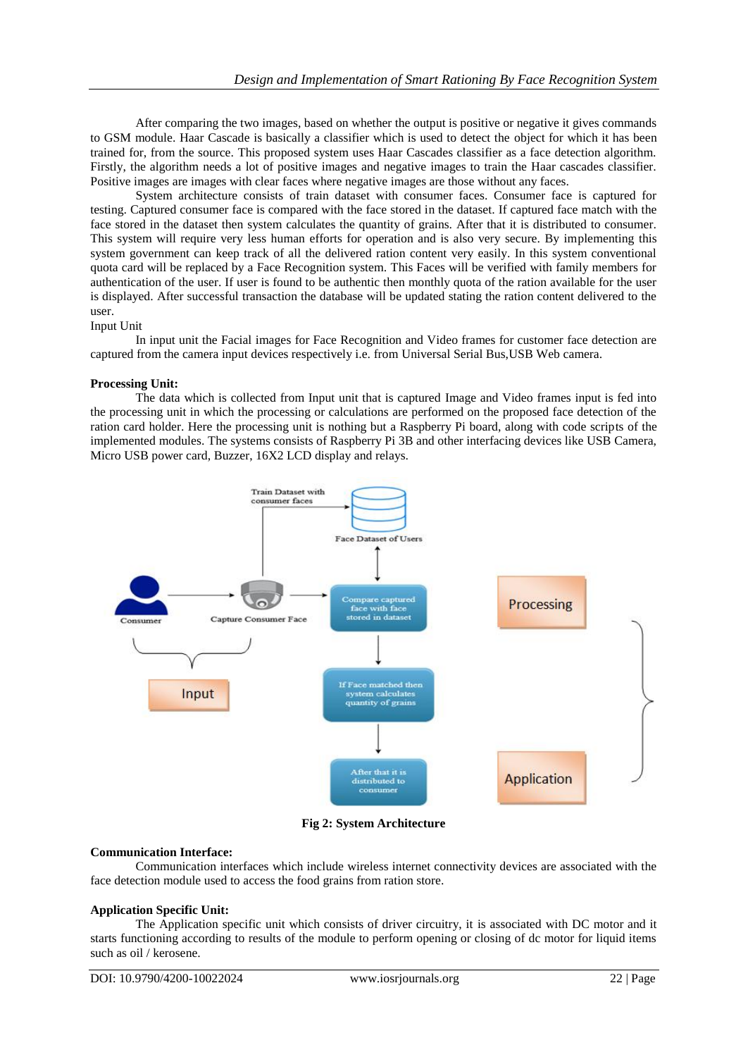After comparing the two images, based on whether the output is positive or negative it gives commands to GSM module. Haar Cascade is basically a classifier which is used to detect the object for which it has been trained for, from the source. This proposed system uses Haar Cascades classifier as a face detection algorithm. Firstly, the algorithm needs a lot of positive images and negative images to train the Haar cascades classifier. Positive images are images with clear faces where negative images are those without any faces.

System architecture consists of train dataset with consumer faces. Consumer face is captured for testing. Captured consumer face is compared with the face stored in the dataset. If captured face match with the face stored in the dataset then system calculates the quantity of grains. After that it is distributed to consumer. This system will require very less human efforts for operation and is also very secure. By implementing this system government can keep track of all the delivered ration content very easily. In this system conventional quota card will be replaced by a Face Recognition system. This Faces will be verified with family members for authentication of the user. If user is found to be authentic then monthly quota of the ration available for the user is displayed. After successful transaction the database will be updated stating the ration content delivered to the user.

### Input Unit

In input unit the Facial images for Face Recognition and Video frames for customer face detection are captured from the camera input devices respectively i.e. from Universal Serial Bus,USB Web camera.

#### **Processing Unit:**

The data which is collected from Input unit that is captured Image and Video frames input is fed into the processing unit in which the processing or calculations are performed on the proposed face detection of the ration card holder. Here the processing unit is nothing but a Raspberry Pi board, along with code scripts of the implemented modules. The systems consists of Raspberry Pi 3B and other interfacing devices like USB Camera, Micro USB power card, Buzzer, 16X2 LCD display and relays.



**Fig 2: System Architecture**

#### **Communication Interface:**

Communication interfaces which include wireless internet connectivity devices are associated with the face detection module used to access the food grains from ration store.

#### **Application Specific Unit:**

The Application specific unit which consists of driver circuitry, it is associated with DC motor and it starts functioning according to results of the module to perform opening or closing of dc motor for liquid items such as oil / kerosene.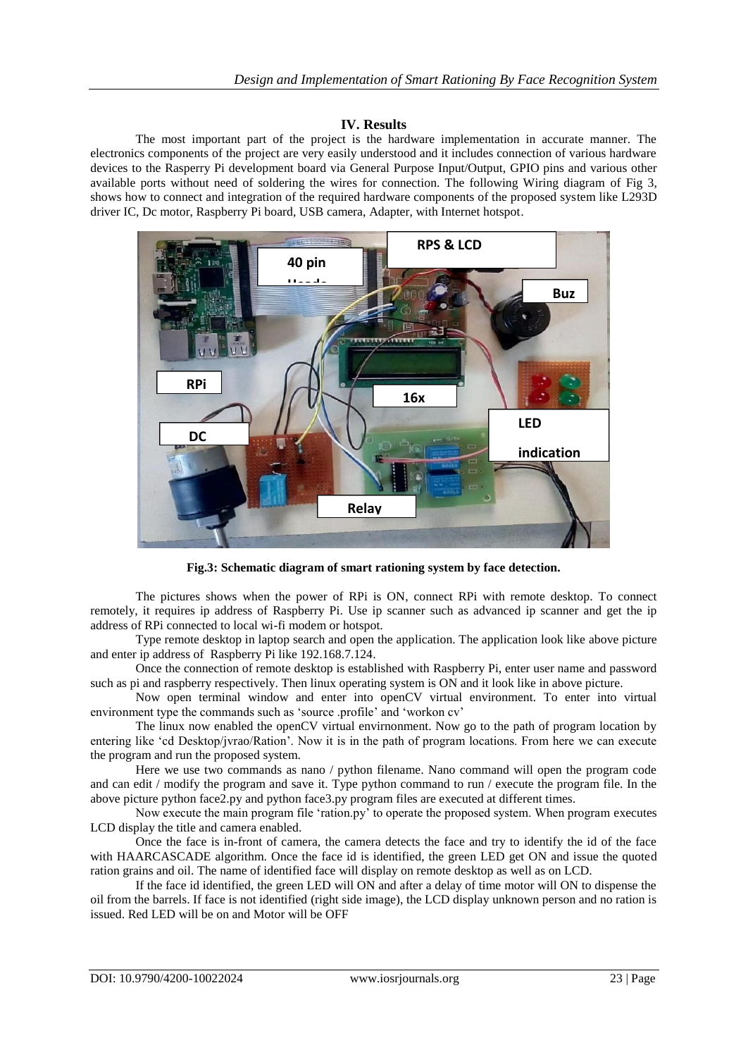## **IV. Results**

The most important part of the project is the hardware implementation in accurate manner. The electronics components of the project are very easily understood and it includes connection of various hardware devices to the Rasperry Pi development board via General Purpose Input/Output, GPIO pins and various other available ports without need of soldering the wires for connection. The following Wiring diagram of Fig 3, shows how to connect and integration of the required hardware components of the proposed system like L293D driver IC, Dc motor, Raspberry Pi board, USB camera, Adapter, with Internet hotspot.



**Fig.3: Schematic diagram of smart rationing system by face detection.**

The pictures shows when the power of RPi is ON, connect RPi with remote desktop. To connect remotely, it requires ip address of Raspberry Pi. Use ip scanner such as advanced ip scanner and get the ip address of RPi connected to local wi-fi modem or hotspot.

Type remote desktop in laptop search and open the application. The application look like above picture and enter ip address of Raspberry Pi like 192.168.7.124.

Once the connection of remote desktop is established with Raspberry Pi, enter user name and password such as pi and raspberry respectively. Then linux operating system is ON and it look like in above picture.

Now open terminal window and enter into openCV virtual environment. To enter into virtual environment type the commands such as 'source .profile' and 'workon cv'

The linux now enabled the openCV virtual envirnonment. Now go to the path of program location by entering like "cd Desktop/jvrao/Ration". Now it is in the path of program locations. From here we can execute the program and run the proposed system.

Here we use two commands as nano / python filename. Nano command will open the program code and can edit / modify the program and save it. Type python command to run / execute the program file. In the above picture python face2.py and python face3.py program files are executed at different times.

Now execute the main program file "ration.py" to operate the proposed system. When program executes LCD display the title and camera enabled.

Once the face is in-front of camera, the camera detects the face and try to identify the id of the face with HAARCASCADE algorithm. Once the face id is identified, the green LED get ON and issue the quoted ration grains and oil. The name of identified face will display on remote desktop as well as on LCD.

If the face id identified, the green LED will ON and after a delay of time motor will ON to dispense the oil from the barrels. If face is not identified (right side image), the LCD display unknown person and no ration is issued. Red LED will be on and Motor will be OFF